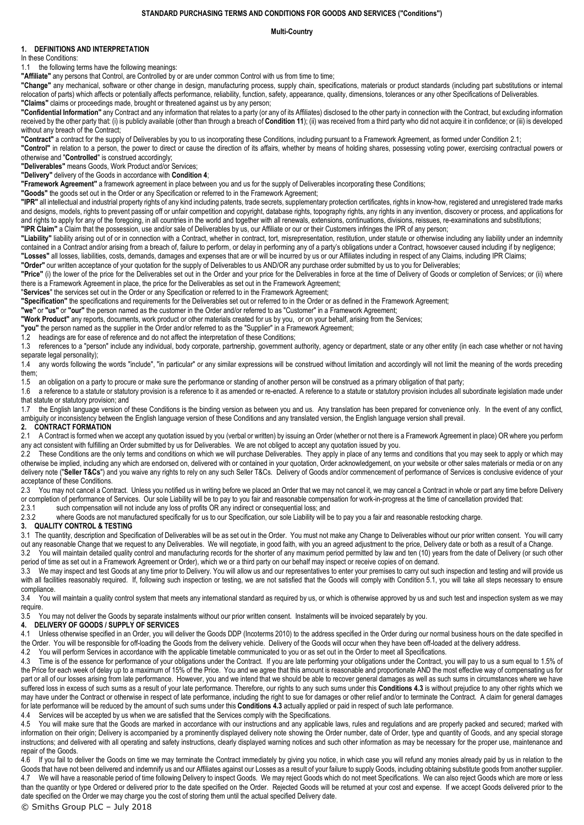#### **STANDARD PURCHASING TERMS AND CONDITIONS FOR GOODS AND SERVICES ("Conditions")**

## **Multi-Country**

# **1. DEFINITIONS AND INTERPRETATION**

In these Conditions:

1.1 the following terms have the following meanings:

**"Affiliate"** any persons that Control, are Controlled by or are under common Control with us from time to time;

**"Change"** any mechanical, software or other change in design, manufacturing process, supply chain, specifications, materials or product standards (including part substitutions or internal relocation of parts) which affects or potentially affects performance, reliability, function, safety, appearance, quality, dimensions, tolerances or any other Specifications of Deliverables. **"Claims"** claims or proceedings made, brought or threatened against us by any person;

**"Confidential Information"** any Contract and any information that relates to a party (or any of its Affiliates) disclosed to the other party in connection with the Contract, but excluding information received by the other party that: (i) is publicly available (other than through a breach of **Conditio[n 11](#page-2-0)**); (ii) was received from a third party who did not acquire it in confidence; or (iii) is developed without any breach of the Contract:

**"Contract"** a contract for the supply of Deliverables by you to us incorporating these Conditions, including pursuant to a Framework Agreement, as formed under Conditio[n 2.1;](#page-0-0)

**"Control"** in relation to a person, the power to direct or cause the direction of its affairs, whether by means of holding shares, possessing voting power, exercising contractual powers or otherwise and "**Controlled**" is construed accordingly;

**"Deliverables"** means Goods, Work Product and/or Services;

**"Delivery"** delivery of the Goods in accordance with **Condition [4](#page-0-1)**;

**"Framework Agreement"** a framework agreement in place between you and us for the supply of Deliverables incorporating these Conditions;

**"Goods"** the goods set out in the Order or any Specification or referred to in the Framework Agreement;

"IPR" all intellectual and industrial property rights of any kind including patents, trade secrets, supplementary protection certificates, rights in know-how, registered and unregistered trade marks and designs, models, rights to prevent passing off or unfair competition and copyright, database rights, topography rights, any rights in any invention, discovery or process, and applications for and rights to apply for any of the foregoing, in all countries in the world and together with all renewals, extensions, continuations, divisions, reissues, re-examinations and substitutions; **"IPR Claim"** a Claim that the possession, use and/or sale of Deliverables by us, our Affiliate or our or their Customers infringes the IPR of any person;

**"Liability"** liability arising out of or in connection with a Contract, whether in contract, tort, misrepresentation, restitution, under statute or otherwise including any liability under an indemnity contained in a Contract and/or arising from a breach of, failure to perform, or delay in performing any of a party's obligations under a Contract, howsoever caused including if by negligence; **"Losses"** all losses, liabilities, costs, demands, damages and expenses that are or will be incurred by us or our Affiliates including in respect of any Claims, including IPR Claims;

**"Order"** our written acceptance of your quotation for the supply of Deliverables to us AND/OR any purchase order submitted by us to you for Deliverables;

**"Price"** (i) the lower of the price for the Deliverables set out in the Order and your price for the Deliverables in force at the time of Delivery of Goods or completion of Services; or (ii) where there is a Framework Agreement in place, the price for the Deliverables as set out in the Framework Agreement;

"**Services**" the services set out in the Order or any Specification or referred to in the Framework Agreement;

**"Specification"** the specifications and requirements for the Deliverables set out or referred to in the Order or as defined in the Framework Agreement;

**"we"** or **"us"** or **"our"** the person named as the customer in the Order and/or referred to as "Customer" in a Framework Agreement;

**"Work Product"** any reports, documents, work product or other materials created for us by you, or on your behalf, arising from the Services;

**"you"** the person named as the supplier in the Order and/or referred to as the "Supplier" in a Framework Agreement;

1.2 headings are for ease of reference and do not affect the interpretation of these Conditions;

1.3 references to a "person" include any individual, body corporate, partnership, government authority, agency or department, state or any other entity (in each case whether or not having separate legal personality);

1.4 any words following the words "include", "in particular" or any similar expressions will be construed without limitation and accordingly will not limit the meaning of the words preceding them;

1.5 an obligation on a party to procure or make sure the performance or standing of another person will be construed as a primary obligation of that party;

1.6 a reference to a statute or statutory provision is a reference to it as amended or re-enacted. A reference to a statute or statutory provision includes all subordinate legislation made under that statute or statutory provision; and

1.7 the English language version of these Conditions is the binding version as between you and us. Any translation has been prepared for convenience only. In the event of any conflict, ambiguity or inconsistency between the English language version of these Conditions and any translated version, the English language version shall prevail.

# **2. CONTRACT FORMATION**

<span id="page-0-0"></span>2.1 A Contract is formed when we accept any quotation issued by you (verbal or written) by issuing an Order (whether or not there is a Framework Agreement in place) OR where you perform any act consistent with fulfilling an Order submitted by us for Deliverables. We are not obliged to accept any quotation issued by you.

2.2 These Conditions are the only terms and conditions on which we will purchase Deliverables. They apply in place of any terms and conditions that you may seek to apply or which may otherwise be implied, including any which are endorsed on, delivered with or contained in your quotation, Order acknowledgement, on your website or other sales materials or media or on any delivery note ("Seller T&Cs") and you waive any rights to rely on any such Seller T&Cs. Delivery of Goods and/or commencement of performance of Services is conclusive evidence of your acceptance of these Conditions.

2.3 You may not cancel a Contract. Unless you notified us in writing before we placed an Order that we may not cancel it, we may cancel a Contract in whole or part any time before Delivery or completion of performance of Services. Our sole Liability will be to pay to you fair and reasonable compensation for work-in-progress at the time of cancellation provided that:<br>2.3.1 such compensation will not include a

such compensation will not include any loss of profits OR any indirect or consequential loss; and

2.3.2 where Goods are not manufactured specifically for us to our Specification, our sole Liability will be to pay you a fair and reasonable restocking charge.

# **3. QUALITY CONTROL & TESTING**

3.1 The quantity, description and Specification of Deliverables will be as set out in the Order. You must not make any Change to Deliverables without our prior written consent. You will carry out any reasonable Change that we request to any Deliverables. We will negotiate, in good faith, with you an agreed adjustment to the price, Delivery date or both as a result of a Change.

3.2 You will maintain detailed quality control and manufacturing records for the shorter of any maximum period permitted by law and ten (10) years from the date of Delivery (or such other period of time as set out in a Framework Agreement or Order), which we or a third party on our behalf may inspect or receive copies of on demand.

3.3 We may inspect and test Goods at any time prior to Delivery. You will allow us and our representatives to enter your premises to carry out such inspection and testing and will provide us with all facilities reasonably required. If, following such inspection or testing, we are not satisfied that the Goods will comply with Condition [5.1,](#page-1-0) you will take all steps necessary to ensure compliance.

3.4 You will maintain a quality control system that meets any international standard as required by us, or which is otherwise approved by us and such test and inspection system as we may require.

3.5 You may not deliver the Goods by separate instalments without our prior written consent. Instalments will be invoiced separately by you.

# <span id="page-0-1"></span>**4. DELIVERY OF GOODS / SUPPLY OF SERVICES**

4.1 Unless otherwise specified in an Order, you will deliver the Goods DDP (Incoterms 2010) to the address specified in the Order during our normal business hours on the date specified in the Order. You will be responsible for off-loading the Goods from the delivery vehicle. Delivery of the Goods will occur when they have been off-loaded at the delivery address.

4.2 You will perform Services in accordance with the applicable timetable communicated to you or as set out in the Order to meet all Specifications.

<span id="page-0-2"></span>4.3 Time is of the essence for performance of your obligations under the Contract. If you are late performing your obligations under the Contract, you will pay to us a sum equal to 1.5% of the Price for each week of delay up to a maximum of 15% of the Price. You and we agree that this amount is reasonable and proportionate AND the most effective way of compensating us for part or all of our losses arising from late performance. However, you and we intend that we should be able to recover general damages as well as such sums in circumstances where we have suffered loss in excess of such sums as a result of your late performance. Therefore, our rights to any such sums under this **Condition[s 4.3](#page-0-2)** is without prejudice to any other rights which we may have under the Contract or otherwise in respect of late performance, including the right to sue for damages or other relief and/or to terminate the Contract. A claim for general damages for late performance will be reduced by the amount of such sums under this **Condition[s 4.3](#page-0-2)** actually applied or paid in respect of such late performance.

4.4 Services will be accepted by us when we are satisfied that the Services comply with the Specifications.

4.5 You will make sure that the Goods are marked in accordance with our instructions and any applicable laws, rules and regulations and are properly packed and secured; marked with information on their origin; Delivery is accompanied by a prominently displayed delivery note showing the Order number, date of Order, type and quantity of Goods, and any special storage instructions; and delivered with all operating and safety instructions, clearly displayed warning notices and such other information as may be necessary for the proper use, maintenance and repair of the Goods.

4.6 If you fail to deliver the Goods on time we may terminate the Contract immediately by giving you notice, in which case you will refund any monies already paid by us in relation to the Goods that have not been delivered and indemnify us and our Affiliates against our Losses as a result of your failure to supply Goods, including obtaining substitute goods from another supplier. 4.7 We will have a reasonable period of time following Delivery to inspect Goods. We may reject Goods which do not meet Specifications. We can also reject Goods which are more or less than the quantity or type Ordered or delivered prior to the date specified on the Order. Rejected Goods will be returned at your cost and expense. If we accept Goods delivered prior to the date specified on the Order we may charge you the cost of storing them until the actual specified Delivery date.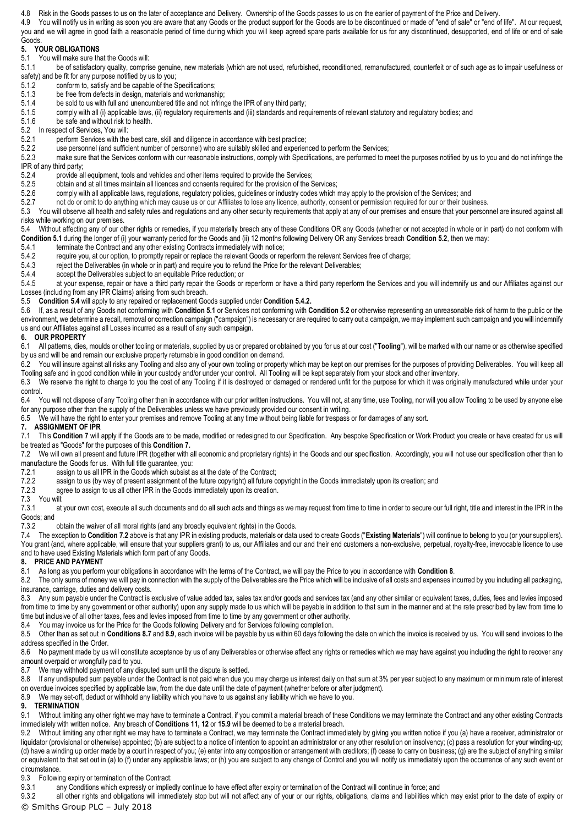4.8 Risk in the Goods passes to us on the later of acceptance and Delivery. Ownership of the Goods passes to us on the earlier of payment of the Price and Delivery.

4.9 You will notify us in writing as soon you are aware that any Goods or the product support for the Goods are to be discontinued or made of "end of sale" or "end of life". At our request, you and we will agree in good faith a reasonable period of time during which you will keep agreed spare parts available for us for any discontinued, desupported, end of life or end of sale

#### Goods. **5. YOUR OBLIGATIONS**

<span id="page-1-0"></span>5.1 You will make sure that the Goods will:<br>5.1.1 be of satisfactory quality compri-

be of satisfactory quality, comprise genuine, new materials (which are not used, refurbished, reconditioned, remanufactured, counterfeit or of such age as to impair usefulness or safety) and be fit for any purpose notified by us to you;

- 5.1.2 conform to, satisfy and be capable of the Specifications;<br>5.1.3 be free from defects in design, materials and workmans
- 5.1.3 be free from defects in design, materials and workmanship;<br>5.1.4 be sold to us with full and unencumbered title and not infrinc-
- 5.1.4 be sold to us with full and unencumbered title and not infringe the IPR of any third party;<br>5.1.5 comply with all (i) applicable laws, (ii) regulatory requirements and (iii) standards and rec comply with all (i) applicable laws, (ii) regulatory requirements and (iii) standards and requirements of relevant statutory and regulatory bodies; and

5.1.6 be safe and without risk to health.

- <span id="page-1-1"></span>5.2 In respect of Services, You will:
- 5.2.1 perform Services with the best care, skill and diligence in accordance with best practice;<br>5.2.2 use personnel (and sufficient number of personnel) who are suitably skilled and experier
- 5.2.2 use personnel (and sufficient number of personnel) who are suitably skilled and experienced to perform the Services;<br>5.2.3 make sure that the Services conform with our reasonable instructions, comply with Specificati

make sure that the Services conform with our reasonable instructions, comply with Specifications, are performed to meet the purposes notified by us to you and do not infringe the IPR of any third party;<br>5.2.4 provide a

5.2.4 provide all equipment, tools and vehicles and other items required to provide the Services;<br>5.2.5 obtain and at all times maintain all licences and consents required for the provision of the S

obtain and at all times maintain all licences and consents required for the provision of the Services;

5.2.6 comply with all applicable laws, regulations, regulatory policies, guidelines or industry codes which may apply to the provision of the Services; and

5.2.7 not do or omit to do anything which may cause us or our Affiliates to lose any licence, authority, consent or permission required for our or their business.

5.3 You will observe all health and safety rules and regulations and any other security requirements that apply at any of our premises and ensure that your personnel are insured against all risks while working on our premises.

<span id="page-1-2"></span>5.4 Without affecting any of our other rights or remedies, if you materially breach any of these Conditions OR any Goods (whether or not accepted in whole or in part) do not conform with **Conditio[n 5.1](#page-1-0)** during the longer of (i) your warranty period for the Goods and (ii) 12 months following Delivery OR any Services breach **Conditio[n 5.2](#page-1-1)**, then we may:

5.4.1 terminate the Contract and any other existing Contracts immediately with notice;<br>5.4.2 require you, at our option, to promptly repair or replace the relevant Goods or rel

<span id="page-1-3"></span>5.4.2 require you, at our option, to promptly repair or replace the relevant Goods or reperform the relevant Services free of charge;<br>5.4.3 reject the Deliverables (in whole or in part) and require you to refund the Price

reject the Deliverables (in whole or in part) and require you to refund the Price for the relevant Deliverables;

5.4.4 accept the Deliverables subject to an equitable Price reduction; or 5.4.5 at your expense, repair or have a third party repair the Goods or

at your expense, repair or have a third party repair the Goods or reperform or have a third party reperform the Services and you will indemnify us and our Affiliates against our Losses (including from any IPR Claims) arising from such breach.

5.5 **Conditio[n 5.4](#page-1-2)** will apply to any repaired or replacement Goods supplied under **Conditio[n 5.4.2.](#page-1-3)**

5.6 If, as a result of any Goods not conforming with **Conditio[n 5.1](#page-1-0)** or Services not conforming with **Conditio[n 5.2](#page-1-1)** or otherwise representing an unreasonable risk of harm to the public or the environment, we determine a recall, removal or correction campaign ("campaign") is necessary or are required to carry out a campaign, we may implement such campaign and you will indemnify us and our Affiliates against all Losses incurred as a result of any such campaign.

## **6. OUR PROPERTY**

6.1 All patterns, dies, moulds or other tooling or materials, supplied by us or prepared or obtained by you for us at our cost ("**Tooling**"), will be marked with our name or as otherwise specified by us and will be and remain our exclusive property returnable in good condition on demand.

6.2 You will insure against all risks any Tooling and also any of your own tooling or property which may be kept on our premises for the purposes of providing Deliverables. You will keep all Tooling safe and in good condition while in your custody and/or under your control. All Tooling will be kept separately from your stock and other inventory.

6.3 We reserve the right to charge to you the cost of any Tooling if it is destroyed or damaged or rendered unfit for the purpose for which it was originally manufactured while under your control.

6.4 You will not dispose of any Tooling other than in accordance with our prior written instructions. You will not, at any time, use Tooling, nor will you allow Tooling to be used by anyone else for any purpose other than the supply of the Deliverables unless we have previously provided our consent in writing.

6.5 We will have the right to enter your premises and remove Tooling at any time without being liable for trespass or for damages of any sort.

## <span id="page-1-4"></span>**7. ASSIGNMENT OF IPR**

7.1 This Conditio[n 7](#page-1-4) will apply if the Goods are to be made, modified or redesigned to our Specification. Any bespoke Specification or Work Product you create or have created for us will be treated as "Goods" for the purposes of this **Conditio[n 7.](#page-1-4)**

<span id="page-1-5"></span>7.2 We will own all present and future IPR (together with all economic and proprietary rights) in the Goods and our specification. Accordingly, you will not use our specification other than to manufacture the Goods for us. With full title guarantee, you:

7.2.1 assign to us all IPR in the Goods which subsist as at the date of the Contract;<br>7.2.2 assign to us (by way of present assignment of the future copyright) all future c 7.2.2 assign to us (by way of present assignment of the future copyright) all future copyright in the Goods immediately upon its creation; and 7.2.3 agree to assign to us all other IPR in the Goods immediately upon its cre

agree to assign to us all other IPR in the Goods immediately upon its creation.

# 7.3 You will:

at your own cost, execute all such documents and do all such acts and things as we may request from time to time in order to secure our full right, title and interest in the IPR in the Goods; and

7.3.2 obtain the waiver of all moral rights (and any broadly equivalent rights) in the Goods.

7.4 The exception to **Condition [7.2](#page-1-5)** above is that any IPR in existing products, materials or data used to create Goods ("**Existing Materials**") will continue to belong to you (or your suppliers). You grant (and, where applicable, will ensure that your suppliers grant) to us, our Affiliates and our and their end customers a non-exclusive, perpetual, royalty-free, irrevocable licence to use and to have used Existing Materials which form part of any Goods.

## <span id="page-1-6"></span>**8. PRICE AND PAYMENT**

8.1 As long as you perform your obligations in accordance with the terms of the Contract, we will pay the Price to you in accordance with **Conditio[n 8](#page-1-6)**.

8.2 The only sums of money we will pay in connection with the supply of the Deliverables are the Price which will be inclusive of all costs and expenses incurred by you including all packaging, insurance, carriage, duties and delivery costs.

8.3 Any sum payable under the Contract is exclusive of value added tax, sales tax and/or goods and services tax (and any other similar or equivalent taxes, duties, fees and levies imposed from time to time by any government or other authority) upon any supply made to us which will be payable in addition to that sum in the manner and at the rate prescribed by law from time to time but inclusive of all other taxes, fees and levies imposed from time to time by any government or other authority.

8.4 You may invoice us for the Price for the Goods following Delivery and for Services following completion.

8.5 Other than as set out in **Condition[s 8.7](#page-1-7)** and **[8.9](#page-1-8)**, each invoice will be payable by us within 60 days following the date on which the invoice is received by us. You will send invoices to the address specified in the Order.

8.6 No payment made by us will constitute acceptance by us of any Deliverables or otherwise affect any rights or remedies which we may have against you including the right to recover any amount overpaid or wrongfully paid to you.

<span id="page-1-7"></span>8.7 We may withhold payment of any disputed sum until the dispute is settled.

8.8 If any undisputed sum payable under the Contract is not paid when due you may charge us interest daily on that sum at 3% per year subject to any maximum or minimum rate of interest on overdue invoices specified by applicable law, from the due date until the date of payment (whether before or after judgment).

<span id="page-1-8"></span>8.9 We may set-off, deduct or withhold any liability which you have to us against any liability which we have to you.

## **9. TERMINATION**

9.1 Without limiting any other right we may have to terminate a Contract, if you commit a material breach of these Conditions we may terminate the Contract and any other existing Contracts immediately with written notice. Any breach of **Conditions 11, 12** or **[15.9](#page-2-1)** will be deemed to be a material breach.

9.2 Without limiting any other right we may have to terminate a Contract, we may terminate the Contract immediately by giving you written notice if you (a) have a receiver, administrator or liquidator (provisional or otherwise) appointed; (b) are subject to a notice of intention to appoint an administrator or any other resolution on insolvency; (c) pass a resolution for your winding-up; (d) have a winding up order made by a court in respect of you; (e) enter into any composition or arrangement with creditors; (f) cease to carry on business; (g) are the subject of anything similar or equivalent to that set out in (a) to (f) under any applicable laws; or (h) you are subject to any change of Control and you will notify us immediately upon the occurrence of any such event or circumstance.

9.3 Following expiry or termination of the Contract:<br>9.3.1 any Conditions which expressly or implie

any Conditions which expressly or impliedly continue to have effect after expiry or termination of the Contract will continue in force; and

9.3.2 all other rights and obligations will immediately stop but will not affect any of your or our rights, obligations, claims and liabilities which may exist prior to the date of expiry or